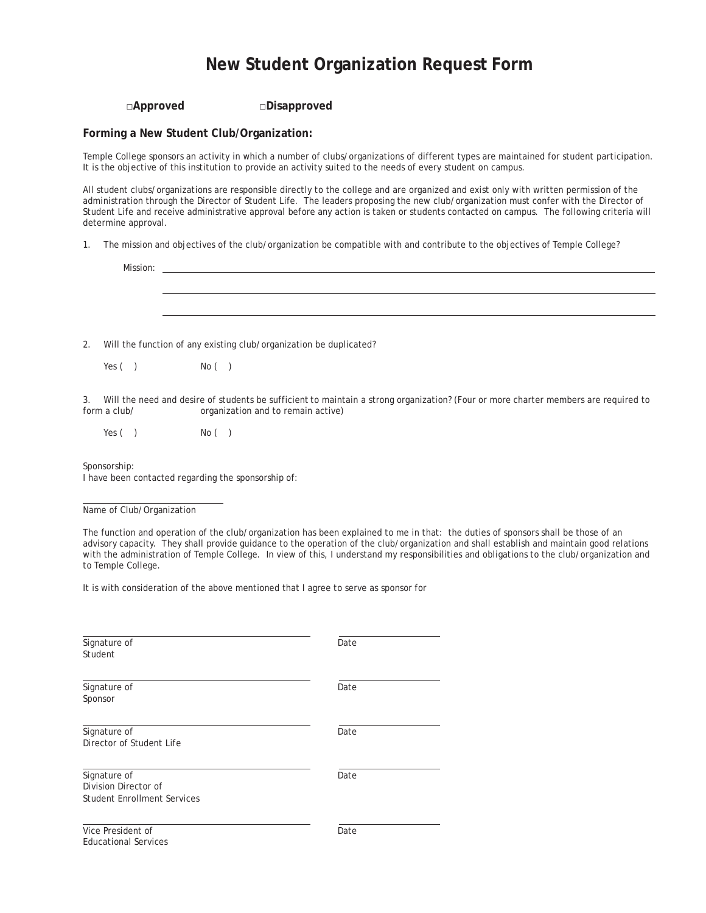### **New Student Organization Request Form**

#### **□Approved □Disapproved**

#### **Forming a New Student Club/Organization:**

Temple College sponsors an activity in which a number of clubs/organizations of different types are maintained for student participation. It is the objective of this institution to provide an activity suited to the needs of every student on campus.

All student clubs/organizations are responsible directly to the college and are organized and exist only with written permission of the administration through the Director of Student Life. The leaders proposing the new club/organization must confer with the Director of Student Life and receive administrative approval before any action is taken or students contacted on campus. The following criteria will determine approval.

1. The mission and objectives of the club/organization be compatible with and contribute to the objectives of Temple College?

2. Will the function of any existing club/organization be duplicated?

 $Yes()$   $No()$ 

3. Will the need and desire of students be sufficient to maintain a strong organization? (Four or more charter members are required to organization and to remain active)

 $Yes()$   $No()$ 

Sponsorship:

I have been contacted regarding the sponsorship of:

Name of Club/Organization

The function and operation of the club/organization has been explained to me in that: the duties of sponsors shall be those of an advisory capacity. They shall provide guidance to the operation of the club/organization and shall establish and maintain good relations with the administration of Temple College. In view of this, I understand my responsibilities and obligations to the club/organization and to Temple College.

It is with consideration of the above mentioned that I agree to serve as sponsor for

| Signature of<br>Student                                                    | Date |
|----------------------------------------------------------------------------|------|
| Signature of<br>Sponsor                                                    | Date |
| Signature of<br>Director of Student Life                                   | Date |
| Signature of<br>Division Director of<br><b>Student Enrollment Services</b> | Date |
| Vice President of<br><b>Educational Services</b>                           | Date |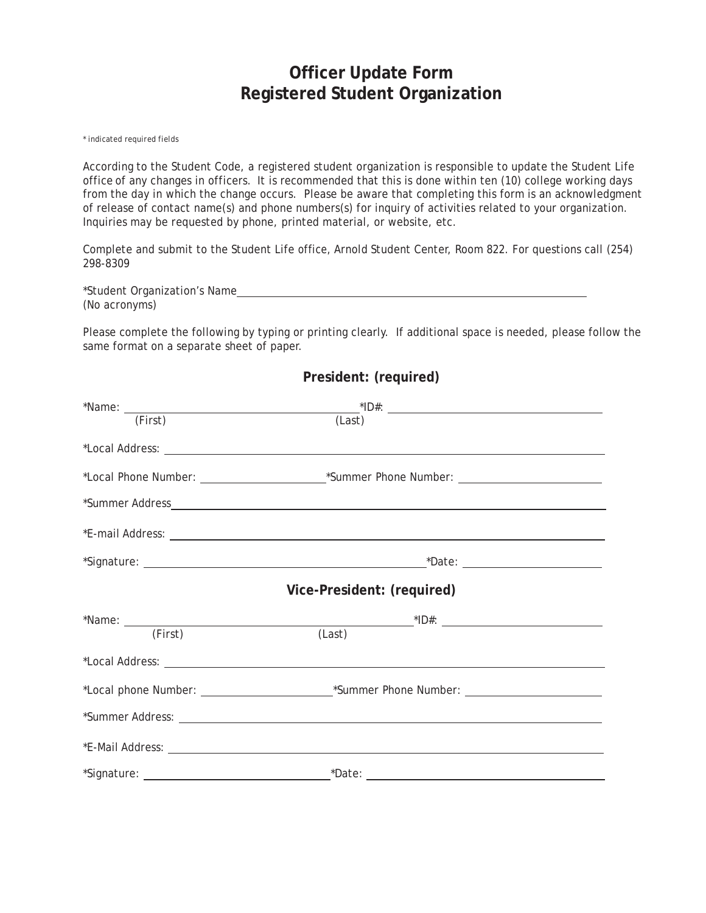## **Officer Update Form Registered Student Organization**

*\* indicated required fields*

According to the Student Code, a registered student organization is responsible to update the Student Life office of any changes in officers. It is recommended that this is done within ten (10) college working days from the day in which the change occurs. Please be aware that completing this form is an acknowledgment of release of contact name(s) and phone numbers(s) for inquiry of activities related to your organization. Inquiries may be requested by phone, printed material, or website, etc.

Complete and submit to the Student Life office, Arnold Student Center, Room 822. For questions call (254) 298-8309

\*Student Organization's Name (No acronyms)

Please complete the following by typing or printing clearly. If additional space is needed, please follow the same format on a separate sheet of paper.

| (First) | (Last)                     |  |
|---------|----------------------------|--|
|         |                            |  |
|         |                            |  |
|         |                            |  |
|         |                            |  |
|         |                            |  |
|         | Vice-President: (required) |  |
| (First) | (Last)                     |  |
|         |                            |  |
|         |                            |  |
|         |                            |  |
|         |                            |  |
|         |                            |  |

**President: (required)**